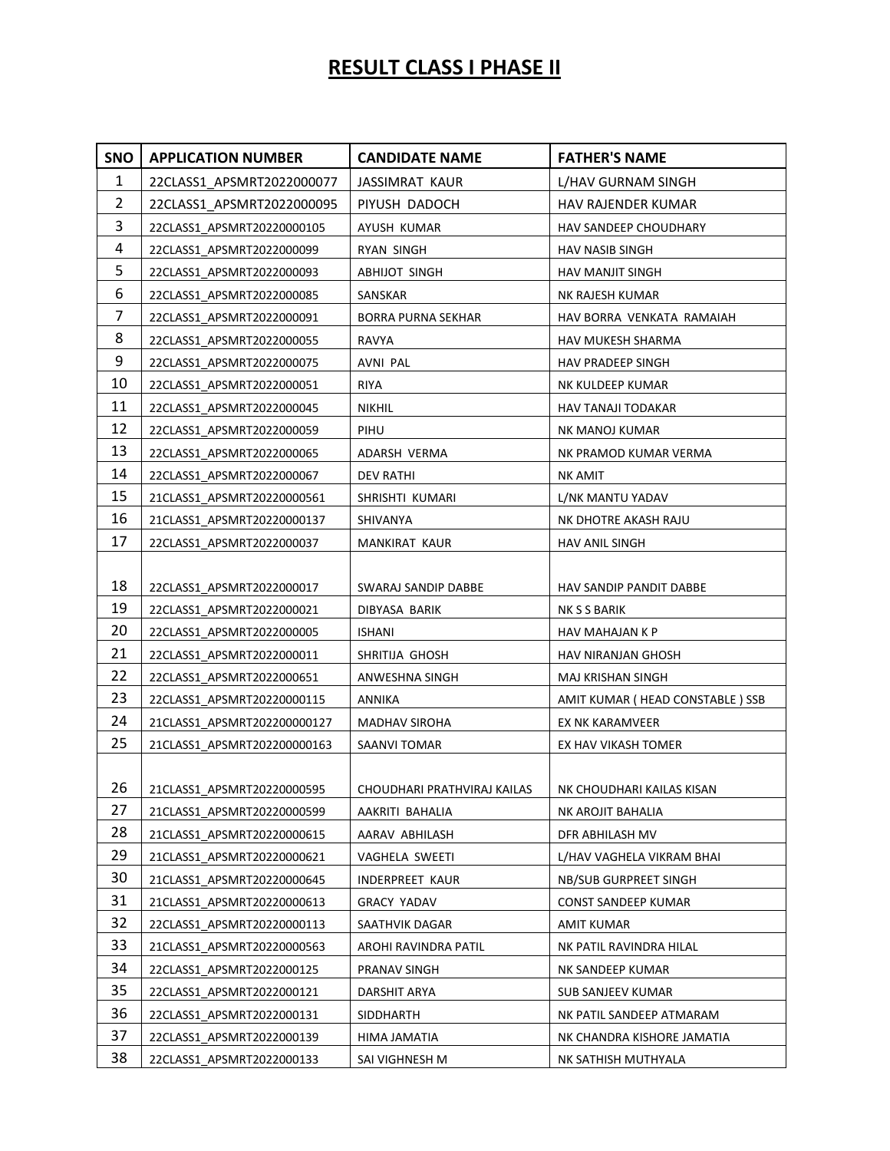## **RESULT CLASS I PHASE II**

| <b>SNO</b>     | <b>APPLICATION NUMBER</b>   | <b>CANDIDATE NAME</b>       | <b>FATHER'S NAME</b>            |
|----------------|-----------------------------|-----------------------------|---------------------------------|
| $\mathbf{1}$   | 22CLASS1 APSMRT2022000077   | <b>JASSIMRAT KAUR</b>       | L/HAV GURNAM SINGH              |
| $\overline{2}$ | 22CLASS1 APSMRT2022000095   | PIYUSH DADOCH               | HAV RAJENDER KUMAR              |
| 3              | 22CLASS1 APSMRT20220000105  | AYUSH KUMAR                 | HAV SANDEEP CHOUDHARY           |
| 4              | 22CLASS1 APSMRT2022000099   | RYAN SINGH                  | HAV NASIB SINGH                 |
| 5              | 22CLASS1 APSMRT2022000093   | ABHIJOT SINGH               | HAV MANJIT SINGH                |
| 6              | 22CLASS1 APSMRT2022000085   | SANSKAR                     | NK RAJESH KUMAR                 |
| 7              | 22CLASS1 APSMRT2022000091   | <b>BORRA PURNA SEKHAR</b>   | HAV BORRA VENKATA RAMAIAH       |
| 8              | 22CLASS1 APSMRT2022000055   | RAVYA                       | HAV MUKESH SHARMA               |
| 9              | 22CLASS1 APSMRT2022000075   | AVNI PAL                    | HAV PRADEEP SINGH               |
| 10             | 22CLASS1 APSMRT2022000051   | <b>RIYA</b>                 | NK KULDEEP KUMAR                |
| 11             | 22CLASS1 APSMRT2022000045   | <b>NIKHIL</b>               | HAV TANAJI TODAKAR              |
| 12             | 22CLASS1 APSMRT2022000059   | PIHU                        | NK MANOJ KUMAR                  |
| 13             | 22CLASS1 APSMRT2022000065   | ADARSH VERMA                | NK PRAMOD KUMAR VERMA           |
| 14             | 22CLASS1 APSMRT2022000067   | <b>DEV RATHI</b>            | <b>NK AMIT</b>                  |
| 15             | 21CLASS1 APSMRT20220000561  | SHRISHTI KUMARI             | L/NK MANTU YADAV                |
| 16             | 21CLASS1 APSMRT20220000137  | SHIVANYA                    | NK DHOTRE AKASH RAJU            |
| 17             | 22CLASS1 APSMRT2022000037   | MANKIRAT KAUR               | HAV ANIL SINGH                  |
|                |                             |                             |                                 |
| 18             | 22CLASS1 APSMRT2022000017   | SWARAJ SANDIP DABBE         | HAV SANDIP PANDIT DABBE         |
| 19             | 22CLASS1 APSMRT2022000021   | DIBYASA BARIK               | NK S S BARIK                    |
| 20             | 22CLASS1 APSMRT2022000005   | ISHANI                      | HAV MAHAJAN K P                 |
| 21             | 22CLASS1 APSMRT2022000011   | SHRITIJA GHOSH              | HAV NIRANJAN GHOSH              |
| 22             | 22CLASS1 APSMRT2022000651   | ANWESHNA SINGH              | MAJ KRISHAN SINGH               |
| 23             | 22CLASS1 APSMRT20220000115  | ANNIKA                      | AMIT KUMAR (HEAD CONSTABLE) SSB |
| 24             | 21CLASS1 APSMRT202200000127 | <b>MADHAV SIROHA</b>        | EX NK KARAMVEER                 |
| 25             | 21CLASS1 APSMRT202200000163 | SAANVI TOMAR                | EX HAV VIKASH TOMER             |
|                |                             |                             |                                 |
| 26             | 21CLASS1 APSMRT20220000595  | CHOUDHARI PRATHVIRAJ KAILAS | NK CHOUDHARI KAILAS KISAN       |
| 27             | 21CLASS1 APSMRT20220000599  | AAKRITI BAHALIA             | NK AROJIT BAHALIA               |
| 28             | 21CLASS1 APSMRT20220000615  | AARAV ABHILASH              | DFR ABHILASH MV                 |
| 29             | 21CLASS1 APSMRT20220000621  | VAGHELA SWEETI              | L/HAV VAGHELA VIKRAM BHAI       |
| 30             | 21CLASS1 APSMRT20220000645  | INDERPREET KAUR             | NB/SUB GURPREET SINGH           |
| 31             | 21CLASS1 APSMRT20220000613  | <b>GRACY YADAV</b>          | <b>CONST SANDEEP KUMAR</b>      |
| 32             | 22CLASS1 APSMRT20220000113  | SAATHVIK DAGAR              | AMIT KUMAR                      |
| 33             | 21CLASS1 APSMRT20220000563  | AROHI RAVINDRA PATIL        | NK PATIL RAVINDRA HILAL         |
| 34             | 22CLASS1 APSMRT2022000125   | PRANAV SINGH                | NK SANDEEP KUMAR                |
| 35             | 22CLASS1 APSMRT2022000121   | DARSHIT ARYA                | SUB SANJEEV KUMAR               |
| 36             | 22CLASS1 APSMRT2022000131   | SIDDHARTH                   | NK PATIL SANDEEP ATMARAM        |
| 37             | 22CLASS1 APSMRT2022000139   | HIMA JAMATIA                | NK CHANDRA KISHORE JAMATIA      |
| 38             | 22CLASS1 APSMRT2022000133   | SAI VIGHNESH M              | NK SATHISH MUTHYALA             |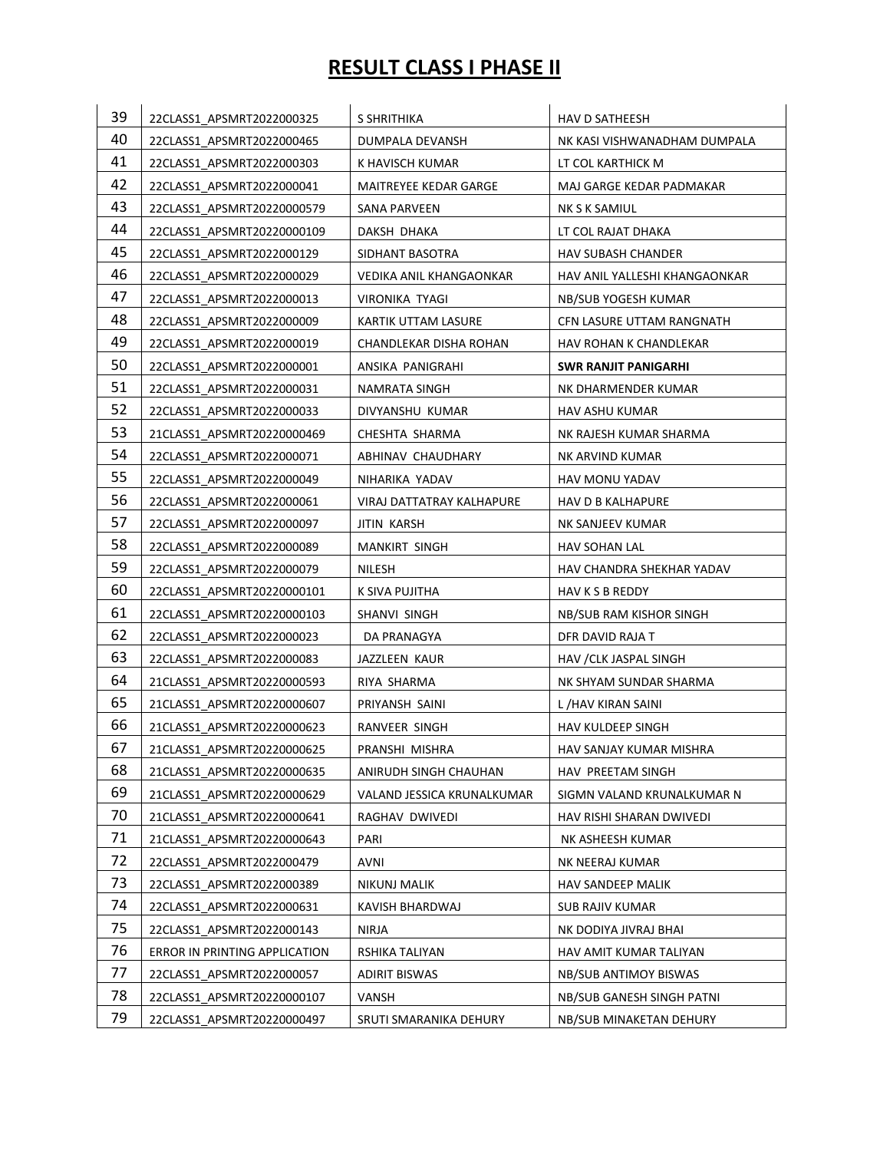## **RESULT CLASS I PHASE II**

| 39 | 22CLASS1 APSMRT2022000325     | S SHRITHIKA                | HAV D SATHEESH                |
|----|-------------------------------|----------------------------|-------------------------------|
| 40 | 22CLASS1 APSMRT2022000465     | DUMPALA DEVANSH            | NK KASI VISHWANADHAM DUMPALA  |
| 41 | 22CLASS1 APSMRT2022000303     | K HAVISCH KUMAR            | LT COL KARTHICK M             |
| 42 | 22CLASS1 APSMRT2022000041     | MAITREYEE KEDAR GARGE      | MAJ GARGE KEDAR PADMAKAR      |
| 43 | 22CLASS1 APSMRT20220000579    | SANA PARVEEN               | NK S K SAMIUL                 |
| 44 | 22CLASS1 APSMRT20220000109    | DAKSH DHAKA                | LT COL RAJAT DHAKA            |
| 45 | 22CLASS1 APSMRT2022000129     | SIDHANT BASOTRA            | <b>HAV SUBASH CHANDER</b>     |
| 46 | 22CLASS1 APSMRT2022000029     | VEDIKA ANIL KHANGAONKAR    | HAV ANIL YALLESHI KHANGAONKAR |
| 47 | 22CLASS1 APSMRT2022000013     | VIRONIKA TYAGI             | NB/SUB YOGESH KUMAR           |
| 48 | 22CLASS1 APSMRT2022000009     | KARTIK UTTAM LASURE        | CFN LASURE UTTAM RANGNATH     |
| 49 | 22CLASS1 APSMRT2022000019     | CHANDLEKAR DISHA ROHAN     | HAV ROHAN K CHANDLEKAR        |
| 50 | 22CLASS1 APSMRT2022000001     | ANSIKA PANIGRAHI           | SWR RANJIT PANIGARHI          |
| 51 | 22CLASS1 APSMRT2022000031     | NAMRATA SINGH              | NK DHARMENDER KUMAR           |
| 52 | 22CLASS1 APSMRT2022000033     | DIVYANSHU KUMAR            | HAV ASHU KUMAR                |
| 53 | 21CLASS1 APSMRT20220000469    | CHESHTA SHARMA             | NK RAJESH KUMAR SHARMA        |
| 54 | 22CLASS1 APSMRT2022000071     | ABHINAV CHAUDHARY          | NK ARVIND KUMAR               |
| 55 | 22CLASS1 APSMRT2022000049     | NIHARIKA YADAV             | HAV MONU YADAV                |
| 56 | 22CLASS1 APSMRT2022000061     | VIRAJ DATTATRAY KALHAPURE  | HAV D B KALHAPURE             |
| 57 | 22CLASS1 APSMRT2022000097     | JITIN KARSH                | NK SANJEEV KUMAR              |
| 58 | 22CLASS1 APSMRT2022000089     | MANKIRT SINGH              | <b>HAV SOHAN LAL</b>          |
| 59 | 22CLASS1 APSMRT2022000079     | NILESH                     | HAV CHANDRA SHEKHAR YADAV     |
| 60 | 22CLASS1 APSMRT20220000101    | K SIVA PUJITHA             | HAV K S B REDDY               |
| 61 | 22CLASS1 APSMRT20220000103    | SHANVI SINGH               | NB/SUB RAM KISHOR SINGH       |
| 62 | 22CLASS1 APSMRT2022000023     | DA PRANAGYA                | DFR DAVID RAJA T              |
| 63 | 22CLASS1 APSMRT2022000083     | JAZZLEEN KAUR              | HAV / CLK JASPAL SINGH        |
| 64 | 21CLASS1 APSMRT20220000593    | RIYA SHARMA                | NK SHYAM SUNDAR SHARMA        |
| 65 | 21CLASS1 APSMRT20220000607    | PRIYANSH SAINI             | L/HAV KIRAN SAINI             |
| 66 | 21CLASS1 APSMRT20220000623    | RANVEER SINGH              | HAV KULDEEP SINGH             |
| 67 | 21CLASS1 APSMRT20220000625    | PRANSHI MISHRA             | HAV SANJAY KUMAR MISHRA       |
| 68 | 21CLASS1 APSMRT20220000635    | ANIRUDH SINGH CHAUHAN      | HAV PREETAM SINGH             |
| 69 | 21CLASS1 APSMRT20220000629    | VALAND JESSICA KRUNALKUMAR | SIGMN VALAND KRUNALKUMAR N    |
| 70 | 21CLASS1 APSMRT20220000641    | RAGHAV DWIVEDI             | HAV RISHI SHARAN DWIVEDI      |
| 71 | 21CLASS1 APSMRT20220000643    | PARI                       | NK ASHEESH KUMAR              |
| 72 | 22CLASS1 APSMRT2022000479     | <b>AVNI</b>                | NK NEERAJ KUMAR               |
| 73 | 22CLASS1 APSMRT2022000389     | NIKUNJ MALIK               | HAV SANDEEP MALIK             |
| 74 | 22CLASS1 APSMRT2022000631     | KAVISH BHARDWAJ            | <b>SUB RAJIV KUMAR</b>        |
| 75 | 22CLASS1 APSMRT2022000143     | NIRJA                      | NK DODIYA JIVRAJ BHAI         |
| 76 | ERROR IN PRINTING APPLICATION | RSHIKA TALIYAN             | HAV AMIT KUMAR TALIYAN        |
| 77 | 22CLASS1 APSMRT2022000057     | ADIRIT BISWAS              | NB/SUB ANTIMOY BISWAS         |
| 78 | 22CLASS1 APSMRT20220000107    | VANSH                      | NB/SUB GANESH SINGH PATNI     |
| 79 | 22CLASS1 APSMRT20220000497    | SRUTI SMARANIKA DEHURY     | NB/SUB MINAKETAN DEHURY       |